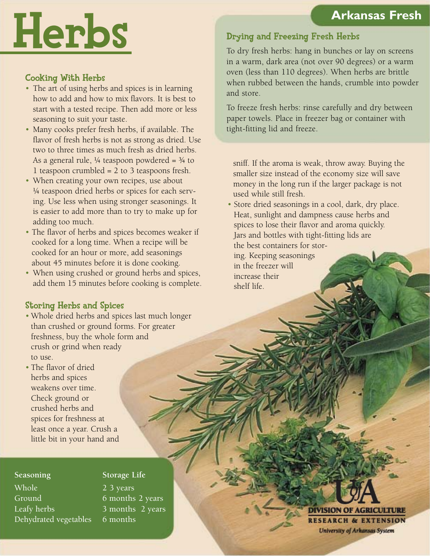# Herbs

### Cooking With Herbs

- The art of using herbs and spices is in learning how to add and how to mix flavors. It is best to start with a tested recipe. Then add more or less seasoning to suit your taste.
- • Many cooks prefer fresh herbs, if available. The flavor of fresh herbs is not as strong as dried. Use two to three times as much fresh as dried herbs. As a general rule, ¼ teaspoon powdered = ¾ to 1 teaspoon crumbled = 2 to 3 teaspoons fresh.
- When creating your own recipes, use about ¼ teaspoon dried herbs or spices for each serv- ing. Use less when using stronger seasonings. It is easier to add more than to try to make up for adding too much.
- The flavor of herbs and spices becomes weaker if cooked for a long time. When a recipe will be cooked for an hour or more, add seasonings about 45 minutes before it is done cooking.
- When using crushed or ground herbs and spices, add them 15 minutes before cooking is complete.

### Drying and Freezing Fresh Herbs

 To dry fresh herbs: hang in bunches or lay on screens in a warm, dark area (not over 90 degrees) or a warm oven (less than 110 degrees). When herbs are brittle when rubbed between the hands, crumble into powder and store.

 To freeze fresh herbs: rinse carefully and dry between paper towels. Place in freezer bag or container with tight-fitting lid and freeze.

 sniff. If the aroma is weak, throw away. Buying the smaller size instead of the economy size will save money in the long run if the larger package is not used while still fresh.

 • Store dried seasonings in a cool, dark, dry place. Heat, sunlight and dampness cause herbs and spices to lose their flavor and aroma quickly. Jars and bottles with tight-fitting lids are the best containers for stor-

 ing. Keeping seasonings in the freezer will increase their shelf life.

### Storing Herbs and Spices

- • Whole dried herbs and spices last much longer than crushed or ground forms. For greater freshness, buy the whole form and crush or grind when ready to use.
- The flavor of dried herbs and spices weakens over time. Check ground or crushed herbs and spices for freshness at least once a year. Crush a little bit in your hand and

**Seasoning Storage Life** Whole 23 years Ground 6 months 2 years Leafy herbs 3 months 2 years Dehydrated vegetables 6 months

#### VISION OF **RESEARCH & EXTENSION** University of Arkansas System